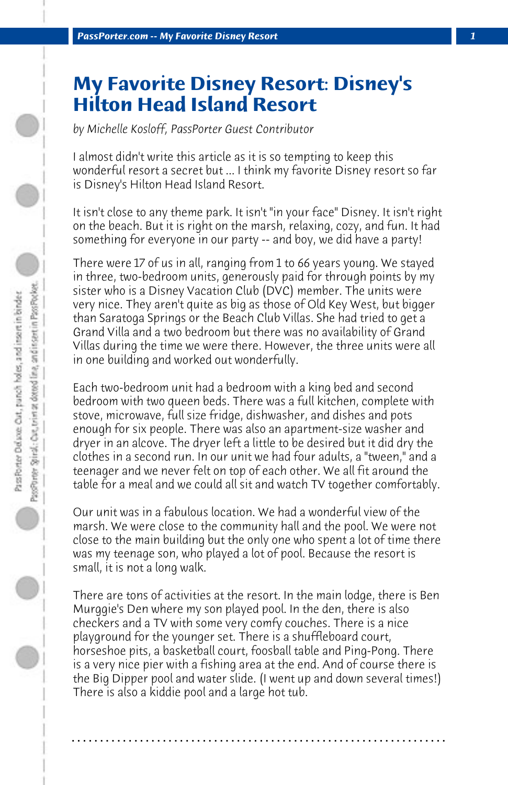## **My Favorite Disney Resort: Disney's Hilton Head Island Resort**

*by Michelle Kosloff, PassPorter Guest Contributor*

I almost didn't write this article as it is so tempting to keep this wonderful resort a secret but ... I think my favorite Disney resort so far is Disney's Hilton Head Island Resort.

It isn't close to any theme park. It isn't "in your face" Disney. It isn't right on the beach. But it is right on the marsh, relaxing, cozy, and fun. It had something for everyone in our party -- and boy, we did have a party!

There were 17 of us in all, ranging from 1 to 66 years young. We stayed in three, two-bedroom units, generously paid for through points by my sister who is a Disney Vacation Club (DVC) member. The units were very nice. They aren't quite as big as those of Old Key West, but bigger than Saratoga Springs or the Beach Club Villas. She had tried to get a Grand Villa and a two bedroom but there was no availability of Grand Villas during the time we were there. However, the three units were all in one building and worked out wonderfully.

Each two-bedroom unit had a bedroom with a king bed and second bedroom with two queen beds. There was a full kitchen, complete with stove, microwave, full size fridge, dishwasher, and dishes and pots enough for six people. There was also an apartment-size washer and dryer in an alcove. The dryer left a little to be desired but it did dry the clothes in a second run. In our unit we had four adults, a "tween," and a teenager and we never felt on top of each other. We all fit around the table for a meal and we could all sit and watch TV together comfortably.

Our unit was in a fabulous location. We had a wonderful view of the marsh. We were close to the community hall and the pool. We were not close to the main building but the only one who spent a lot of time there was my teenage son, who played a lot of pool. Because the resort is small, it is not a long walk.

There are tons of activities at the resort. In the main lodge, there is Ben Murggie's Den where my son played pool. In the den, there is also checkers and a TV with some very comfy couches. There is a nice playground for the younger set. There is a shuffleboard court, horseshoe pits, a basketball court, foosball table and Ping-Pong. There is a very nice pier with a fishing area at the end. And of course there is the Big Dipper pool and water slide. (I went up and down several times!) There is also a kiddie pool and a large hot tub.

**. . . . . . . . . . . . . . . . . . . . . . . . . . . . . . . . . . . . . . . . . . . . . . . . . . . . . . . . . . . . . . . . . .**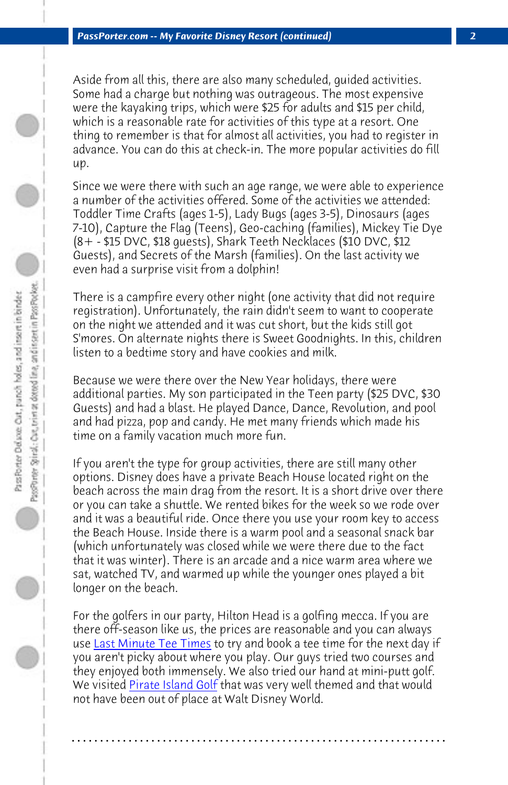*PassPorter.com -- My Favorite Disney Resort (continued) 2*

Aside from all this, there are also many scheduled, guided activities. Some had a charge but nothing was outrageous. The most expensive were the kayaking trips, which were \$25 for adults and \$15 per child, which is a reasonable rate for activities of this type at a resort. One thing to remember is that for almost all activities, you had to register in advance. You can do this at check-in. The more popular activities do fill up.

Since we were there with such an age range, we were able to experience a number of the activities offered. Some of the activities we attended: Toddler Time Crafts (ages 1-5), Lady Bugs (ages 3-5), Dinosaurs (ages 7-10), Capture the Flag (Teens), Geo-caching (families), Mickey Tie Dye (8+ - \$15 DVC, \$18 guests), Shark Teeth Necklaces (\$10 DVC, \$12 Guests), and Secrets of the Marsh (families). On the last activity we even had a surprise visit from a dolphin!

There is a campfire every other night (one activity that did not require registration). Unfortunately, the rain didn't seem to want to cooperate on the night we attended and it was cut short, but the kids still got S'mores. On alternate nights there is Sweet Goodnights. In this, children listen to a bedtime story and have cookies and milk.

Because we were there over the New Year holidays, there were additional parties. My son participated in the Teen party (\$25 DVC, \$30 Gue[sts\) and had a blast. He](http://www.lmteetimes.com/) played Dance, Dance, Revolution, and pool and had pizza, pop and candy. He met many friends which made his time on a family vacation much more fun.

If you aren['t the type for gro](http://www.pirateislandgolf.com/)up activities, there are still many other options. Disney does have a private Beach House located right on the beach across the main drag from the resort. It is a short drive over there or you can take a shuttle. We rented bikes for the week so we rode over and it was a beautiful ride. Once there you use your room key to access the Beach House. Inside there is a warm pool and a seasonal snack bar (which unfortunately was closed while we were there due to the fact that it was winter). There is an arcade and a nice warm area where we sat, watched TV, and warmed up while the younger ones played a bit longer on the beach.

For the golfers in our party, Hilton Head is a golfing mecca. If you are there off-season like us, the prices are reasonable and you can always use Last Minute Tee Times to try and book a tee time for the next day if you aren't picky about where you play. Our guys tried two courses and they enjoyed both immensely. We also tried our hand at mini-putt golf. We visited Pirate Island Golf that was very well themed and that would not have been out of place at Walt Disney World.

**. . . . . . . . . . . . . . . . . . . . . . . . . . . . . . . . . . . . . . . . . . . . . . . . . . . . . . . . . . . . . . . . . .**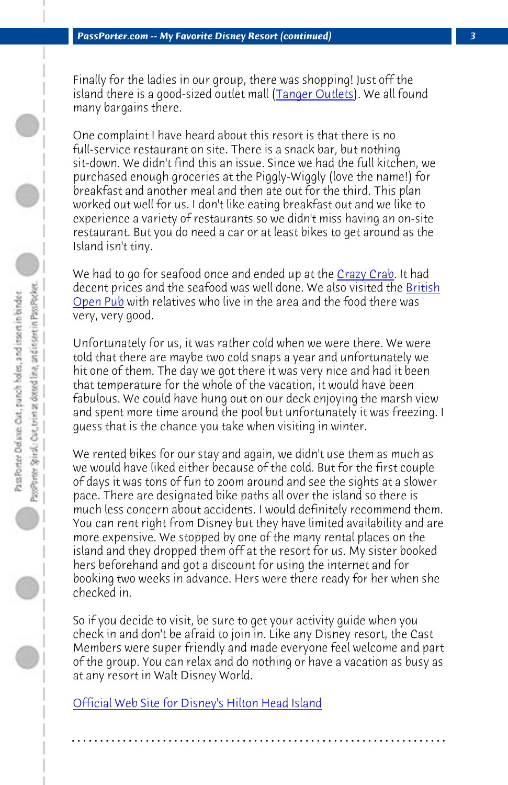*PassPorter.com -- My Favorite Disney Resort (continued) 3*

[Finally for](http://www.britishopenpub.net/HHIPub.html) the ladies in our group, there was shopping! Just off the island there is a good-sized outlet mall (Tanger Outlets). We all found many bargains there.

One complaint I have heard about this resort is that there is no full-service restaurant on site. There is a snack bar, but nothing sit-down. We didn't find this an issue. Since we had the full kitchen, we purchased enough groceries at the Piggly-Wiggly (love the name!) for breakfast and another meal and then ate out for the third. This plan worked out well for us. I don't like eating breakfast out and we like to experience a variety of restaurants so we didn't miss having an on-site restaurant. But you do need a car or at least bikes to get around as the Island isn't tiny.

We had to go for seafood once and ended up at the Crazy Crab. It had decent prices and the seafood was well done. We also visited the British Open Pub with relatives who live in the area and the food there was very, very good.

Unfortunately for us, it was rather cold when we were there. We were told that there are maybe two cold snaps a year and unfortunately we hit one of them. The day we got there it was very nice and had it been that temperature for the whole of the vacation, it would have been fabulous. We could have hung out on our deck enjoying the marsh view and spent more time around the pool but unfortunately it was freezing. I guess that is the chance you take when visiting in winter.

We rented bikes for our stay and again, we didn't use them as much as [we would have liked either because of the cold. B](http://dvc.disney.go.com/dvc/guest/resorts/resortDetail?id=ProspectsHiltonHeadIslandResortLandingPage)ut for the first couple of days it was tons of fun to zoom around and see the sights at a slower pace. There are designated bike paths all over the island so there is much less concern about accidents. I would definitely recommend them. You can rent right from Disney but they have limited availability and are more expensive. We stopped by one of the many rental places on the island and they dropped them off at the resort for us. My sister booked hers beforehand and got a discount for using the internet and for booking two weeks in advance. Hers were there ready for her when she checked in.

So if you decide to visit, be sure to get your activity guide when you check in and don't be afraid to join in. Like any Disney resort, the Cast Members were super friendly and made everyone feel welcome and part of the group. You can relax and do nothing or have a vacation as busy as at any resort in Walt Disney World.

**. . . . . . . . . . . . . . . . . . . . . . . . . . . . . . . . . . . . . . . . . . . . . . . . . . . . . . . . . . . . . . . . . .**

Official Web Site for Disney's Hilton Head Island